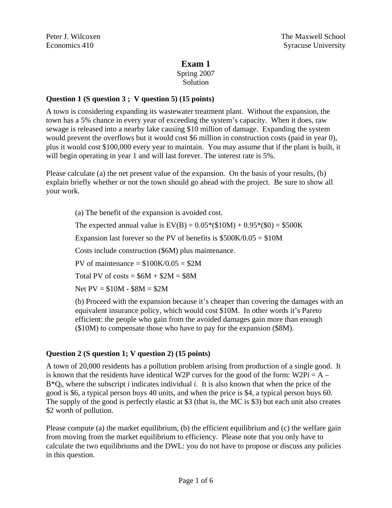# **Exam 1**

Spring 2007 Solution

## **Question 1 (S question 3 ; V question 5) (15 points)**

A town is considering expanding its wastewater treatment plant. Without the expansion, the town has a 5% chance in every year of exceeding the system's capacity. When it does, raw sewage is released into a nearby lake causing \$10 million of damage. Expanding the system would prevent the overflows but it would cost \$6 million in construction costs (paid in year 0), plus it would cost \$100,000 every year to maintain. You may assume that if the plant is built, it will begin operating in year 1 and will last forever. The interest rate is 5%.

Please calculate (a) the net present value of the expansion. On the basis of your results, (b) explain briefly whether or not the town should go ahead with the project. Be sure to show all your work.

(a) The benefit of the expansion is avoided cost.

The expected annual value is  $EV(B) = 0.05*(10M) + 0.95*(0) = $500K$ 

Expansion last forever so the PV of benefits is  $$500K/0.05 = $10M$ 

Costs include construction (\$6M) plus maintenance.

PV of maintenance  $= $100K/0.05 = $2M$ 

Total PV of costs  $= $6M + $2M = $8M$ 

Net PV = \$10M - \$8M = \$2M

(b) Proceed with the expansion because it's cheaper than covering the damages with an equivalent insurance policy, which would cost \$10M. In other words it's Pareto efficient: the people who gain from the avoided damages gain more than enough (\$10M) to compensate those who have to pay for the expansion (\$8M).

#### **Question 2 (S question 1; V question 2) (15 points)**

A town of 20,000 residents has a pollution problem arising from production of a single good. It is known that the residents have identical W2P curves for the good of the form:  $W2Pi = A B^*Q_i$ , where the subscript *i* indicates individual *i*. It is also known that when the price of the good is \$6, a typical person buys 40 units, and when the price is \$4, a typical person buys 60. The supply of the good is perfectly elastic at \$3 (that is, the MC is \$3) but each unit also creates \$2 worth of pollution.

Please compute (a) the market equilibrium, (b) the efficient equilibrium and (c) the welfare gain from moving from the market equilibrium to efficiency. Please note that you only have to calculate the two equilibriums and the DWL: you do not have to propose or discuss any policies in this question.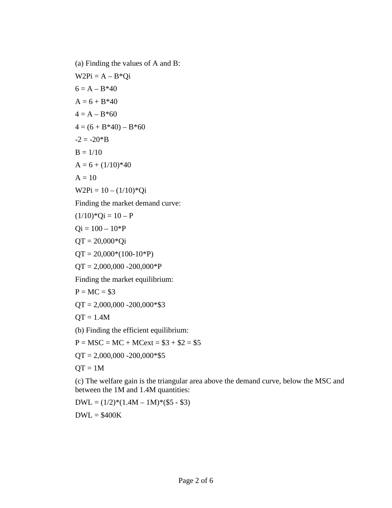(a) Finding the values of A and B:  $W2Pi = A - B*Qi$  $6 = A - B*40$  $A = 6 + B*40$  $4 = A - B*60$  $4 = (6 + B*40) - B*60$  $-2 = -20*B$  $B = 1/10$  $A = 6 + (1/10)*40$  $A = 10$  $W2Pi = 10 - (1/10)^*Qi$ Finding the market demand curve:  $(1/10)*Qi = 10 - P$  $Qi = 100 - 10*P$  $QT = 20,000*Qi$  $QT = 20,000*(100-10*P)$  $QT = 2,000,000 - 200,000 \cdot P$ Finding the market equilibrium:  $P = MC = $3$  $QT = 2,000,000 - 200,000$  \*\$3  $QT = 1.4M$ (b) Finding the efficient equilibrium:

 $P = MSC = MC + MCext = $3 + $2 = $5$ 

 $QT = 2,000,000 - 200,000*$ \$5

 $QT = 1M$ 

(c) The welfare gain is the triangular area above the demand curve, below the MSC and between the 1M and 1.4M quantities:

 $DWL = (1/2)*(1.4M - 1M)*(\$5 - \$3)$ 

 $DWL = $400K$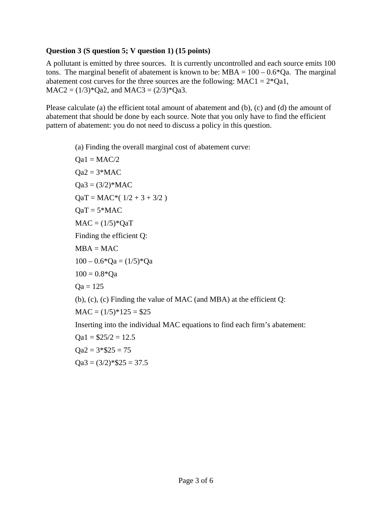## **Question 3 (S question 5; V question 1) (15 points)**

A pollutant is emitted by three sources. It is currently uncontrolled and each source emits 100 tons. The marginal benefit of abatement is known to be: MBA =  $100 - 0.6$ <sup>\*</sup>Qa. The marginal abatement cost curves for the three sources are the following:  $MAC1 = 2*Qa1$ ,  $MAC2 = (1/3)*Qa2$ , and  $MAC3 = (2/3)*Qa3$ .

Please calculate (a) the efficient total amount of abatement and (b), (c) and (d) the amount of abatement that should be done by each source. Note that you only have to find the efficient pattern of abatement: you do not need to discuss a policy in this question.

(a) Finding the overall marginal cost of abatement curve:

\n
$$
Qa1 = MAC/2
$$
  
\n $Qa2 = 3 * MAC$   
\n $Qa3 = (3/2) * MAC$   
\n $QaT = MAC * (1/2 + 3 + 3/2)$   
\n $QaT = 5 * MAC$   
\n $MAC = (1/5) * QaT$   
\nFinding the efficient Q:  
\n $MBA = MAC$   
\n $100 - 0.6 * Qa = (1/5) * Qa$   
\n $100 = 0.8 * Qa$   
\n $Qa = 125$   
\n $(b), (c), (c)$   
\nFinding the value of MAC (and MBA) at the efficient Q:  
\n $MAC = (1/5) * 125 = $25$   
\nInserting into the individual MAC equations to find each firm's abatement:  
\n $Qa1 = $25/2 = 12.5$ \n

 $Qa2 = 3* $25 = 75$ 

 $Qa3 = (3/2)*\$25 = 37.5$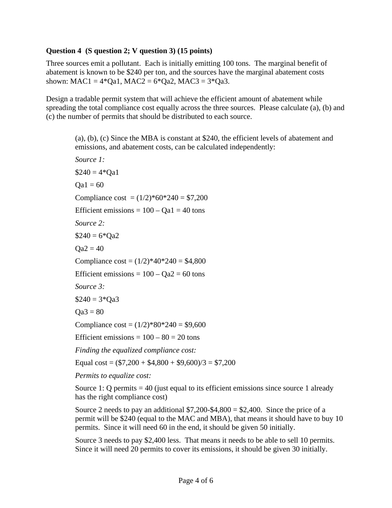#### **Question 4 (S question 2; V question 3) (15 points)**

Three sources emit a pollutant. Each is initially emitting 100 tons. The marginal benefit of abatement is known to be \$240 per ton, and the sources have the marginal abatement costs shown:  $MAC1 = 4*Qa1$ ,  $MAC2 = 6*Qa2$ ,  $MAC3 = 3*Qa3$ .

Design a tradable permit system that will achieve the efficient amount of abatement while spreading the total compliance cost equally across the three sources. Please calculate (a), (b) and (c) the number of permits that should be distributed to each source.

(a), (b), (c) Since the MBA is constant at \$240, the efficient levels of abatement and emissions, and abatement costs, can be calculated independently:

```
Source 1: 
$240 = 4*Qa1Qa1 = 60Compliance cost = (1/2)*60*240 = $7,200Efficient emissions = 100 - Qa1 = 40 tons
Source 2: 
$240 = 6*Qa2Qa2 = 40Compliance \cos t = (1/2) \times 40 \times 240 = $4,800Efficient emissions = 100 - Qa2 = 60 tons
Source 3: 
$240 = 3*Qa3Qa3 = 80Compliance \cos t = (1/2) \times 80 \times 240 = 9,600Efficient emissions = 100 - 80 = 20 tons
Finding the equalized compliance cost: 
Equal cost = (\$7,200 + \$4,800 + \$9,600)/3 = \$7,200
```
*Permits to equalize cost:* 

Source 1: Q permits  $= 40$  (just equal to its efficient emissions since source 1 already has the right compliance cost)

Source 2 needs to pay an additional  $$7,200-$4,800 = $2,400$ . Since the price of a permit will be \$240 (equal to the MAC and MBA), that means it should have to buy 10 permits. Since it will need 60 in the end, it should be given 50 initially.

Source 3 needs to pay \$2,400 less. That means it needs to be able to sell 10 permits. Since it will need 20 permits to cover its emissions, it should be given 30 initially.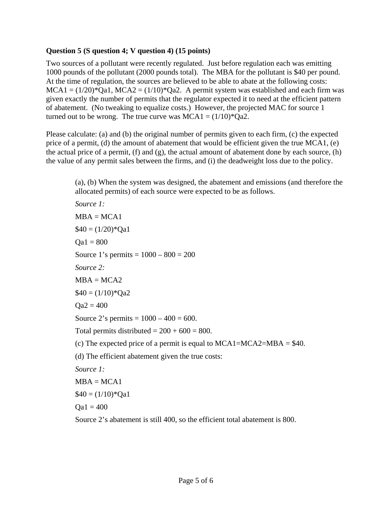## **Question 5 (S question 4; V question 4) (15 points)**

Two sources of a pollutant were recently regulated. Just before regulation each was emitting 1000 pounds of the pollutant (2000 pounds total). The MBA for the pollutant is \$40 per pound. At the time of regulation, the sources are believed to be able to abate at the following costs:  $MCA1 = (1/20)^*Qa1$ ,  $MCA2 = (1/10)^*Qa2$ . A permit system was established and each firm was given exactly the number of permits that the regulator expected it to need at the efficient pattern of abatement. (No tweaking to equalize costs.) However, the projected MAC for source 1 turned out to be wrong. The true curve was  $MCA1 = (1/10)^*Qa2$ .

Please calculate: (a) and (b) the original number of permits given to each firm, (c) the expected price of a permit, (d) the amount of abatement that would be efficient given the true MCA1, (e) the actual price of a permit, (f) and (g), the actual amount of abatement done by each source, (h) the value of any permit sales between the firms, and (i) the deadweight loss due to the policy.

(a), (b) When the system was designed, the abatement and emissions (and therefore the allocated permits) of each source were expected to be as follows.

*Source 1:*   $MBA = MCA1$  $$40 = (1/20)*Qa1$  $\text{Oa1} = 800$ Source 1's permits =  $1000 - 800 = 200$ *Source 2:*  $MBA = MCA2$  $$40 = (1/10)*Qa2$  $Oa2 = 400$ Source 2's permits =  $1000 - 400 = 600$ . Total permits distributed  $= 200 + 600 = 800$ . (c) The expected price of a permit is equal to  $MCA1 = MCA2 = MBA = $40$ . (d) The efficient abatement given the true costs: *Source 1:*   $MBA = MCA1$  $$40 = (1/10)*$ Qa1  $\text{Oa1} = 400$ 

Source 2's abatement is still 400, so the efficient total abatement is 800.